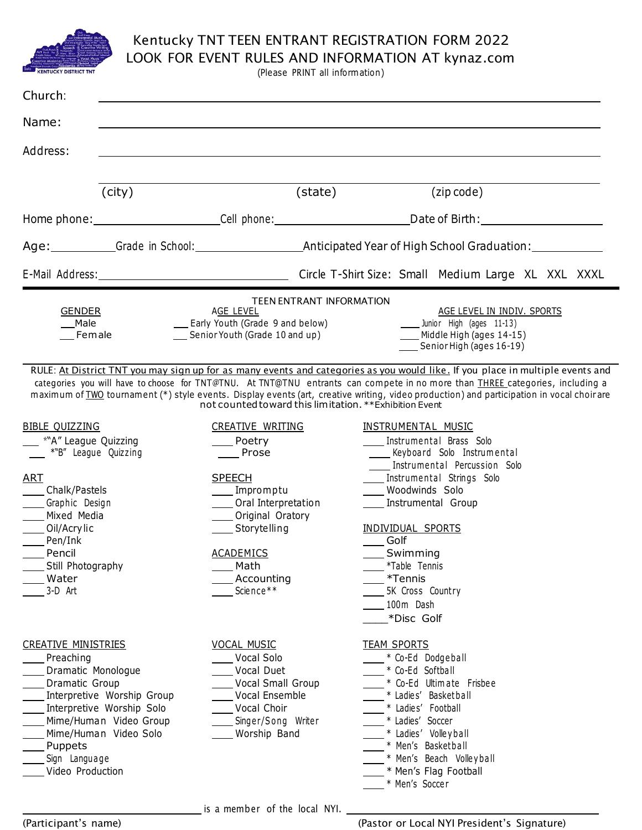

## Kentucky TNT TEEN ENTRANT REGISTRATION FORM 2022

LOOK FOR EVENT RULES AND INFORMATION AT kynaz.com

(Please PRINT all inform ation)

| Church:                                                                                                                                                                                                                                       |                                                                                                                                                                                                                                                     |                                                                                                                                                                                                                                                                                                                                                                                                                                                                                                                                                                                   |  |
|-----------------------------------------------------------------------------------------------------------------------------------------------------------------------------------------------------------------------------------------------|-----------------------------------------------------------------------------------------------------------------------------------------------------------------------------------------------------------------------------------------------------|-----------------------------------------------------------------------------------------------------------------------------------------------------------------------------------------------------------------------------------------------------------------------------------------------------------------------------------------------------------------------------------------------------------------------------------------------------------------------------------------------------------------------------------------------------------------------------------|--|
| Name:                                                                                                                                                                                                                                         |                                                                                                                                                                                                                                                     |                                                                                                                                                                                                                                                                                                                                                                                                                                                                                                                                                                                   |  |
| Address:                                                                                                                                                                                                                                      |                                                                                                                                                                                                                                                     |                                                                                                                                                                                                                                                                                                                                                                                                                                                                                                                                                                                   |  |
| (city)                                                                                                                                                                                                                                        | (state)                                                                                                                                                                                                                                             | (zip code)                                                                                                                                                                                                                                                                                                                                                                                                                                                                                                                                                                        |  |
|                                                                                                                                                                                                                                               |                                                                                                                                                                                                                                                     | Home phone: _________________________Cell phone: ___________________________Date of Birth: ___________________                                                                                                                                                                                                                                                                                                                                                                                                                                                                    |  |
|                                                                                                                                                                                                                                               |                                                                                                                                                                                                                                                     | Age: Grade in School: Anticipated Year of High School Graduation: Case School Graduation:                                                                                                                                                                                                                                                                                                                                                                                                                                                                                         |  |
|                                                                                                                                                                                                                                               |                                                                                                                                                                                                                                                     |                                                                                                                                                                                                                                                                                                                                                                                                                                                                                                                                                                                   |  |
| <b>GENDER</b><br>Male<br>Female                                                                                                                                                                                                               | <b>TEEN ENTRANT INFORMATION</b><br>AGE LEVEL<br>__ Early Youth (Grade 9 and below)<br>Senior Youth (Grade 10 and up)                                                                                                                                | AGE LEVEL IN INDIV. SPORTS<br>Junior High (ages 11-13)<br>____ Middle High (ages 14-15)<br>Senior High (ages 16-19)<br>RULE: At District TNT you may sign up for as many events and categories as you would like. If you place in multiple events and                                                                                                                                                                                                                                                                                                                             |  |
| <b>BIBLE QUIZZING</b><br>*"A" League Quizzing<br>$*$ "B" League Quizzing<br><b>ART</b><br>Chalk/Pastels<br>_____Graphic Design<br>Mixed Media<br>Oil/Acrylic<br>Pen/Ink<br>___ Pencil<br>Still Photography<br>Water<br>3-D Art                | not counted toward this limitation. ** Exhibition Event<br>CREATIVE WRITING<br>Poetry<br>Prose<br><b>SPEECH</b><br>____ Impromptu<br>Oral Interpretation<br>Original Oratory<br>Storytelling<br><u>ACADEMICS</u><br>Math<br>Accounting<br>Science** | categories you will have to choose for TNT@TNU. At TNT@TNU entrants can compete in no more than THREE categories, including a<br>maximum of TWO tournament (*) style events. Display events (art, creative writing, video production) and participation in vocal choir are<br><b>INSTRUMENTAL MUSIC</b><br>Instrumental Brass Solo<br>_____ Keyboard Solo Instrumental<br>Instrumental Percussion Solo<br>Instrumental Strings Solo<br>Woodwinds Solo<br>Instrumental Group<br>INDIVIDUAL SPORTS<br>Golf<br>Swimming<br>*Table Tennis<br>*Tennis<br>5K Cross Country<br>100m Dash |  |
| <b>CREATIVE MINISTRIES</b><br>Preaching<br>Dramatic Monologue<br>Dramatic Group<br>Interpretive Worship Group<br>Interpretive Worship Solo<br>Mime/Human Video Group<br>Mime/Human Video Solo<br>Puppets<br>Sign Language<br>Video Production | <b>VOCAL MUSIC</b><br>Vocal Solo<br>Vocal Duet<br>Vocal Small Group<br>Vocal Ensemble<br>Vocal Choir<br>Singer/Song Writer<br>Worship Band                                                                                                          | *Disc Golf<br><b>TEAM SPORTS</b><br>* Co-Ed Dodgeball<br>* Co-Ed Softball<br>* Co-Ed Ultimate Frisbee<br>* Ladies' Basketball<br>* Ladies' Football<br>* Ladies' Soccer<br>* Ladies' Volleyball<br>* Men's Basketball<br>* Men's Beach Volleyball<br>* Men's Flag Football<br>* Men's Soccer                                                                                                                                                                                                                                                                                      |  |

is a member of the local NYI.